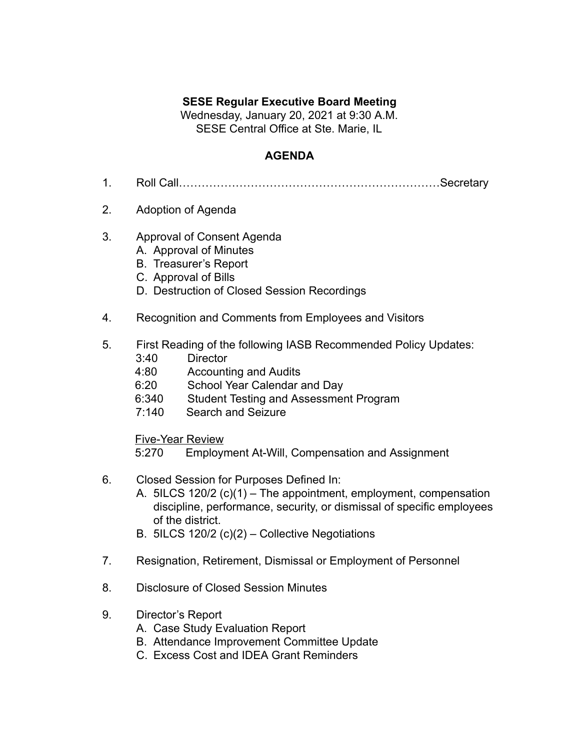## **SESE Regular Executive Board Meeting**

Wednesday, January 20, 2021 at 9:30 A.M. SESE Central Office at Ste. Marie, IL

## **AGENDA**

- 1. Roll Call……………………………………………………………Secretary
- 2. Adoption of Agenda
- 3. Approval of Consent Agenda
	- A. Approval of Minutes
	- B. Treasurer's Report
	- C. Approval of Bills
	- D. Destruction of Closed Session Recordings
- 4. Recognition and Comments from Employees and Visitors
- 5. First Reading of the following IASB Recommended Policy Updates:
	- 3:40 Director
	- 4:80 Accounting and Audits
	- 6:20 School Year Calendar and Day
	- 6:340 Student Testing and Assessment Program
	- 7:140 Search and Seizure

Five-Year Review

- 5:270 Employment At-Will, Compensation and Assignment
- 6. Closed Session for Purposes Defined In:
	- A. 5ILCS 120/2 (c)(1) The appointment, employment, compensation discipline, performance, security, or dismissal of specific employees of the district.
	- B. 5ILCS 120/2 (c)(2) Collective Negotiations
- 7. Resignation, Retirement, Dismissal or Employment of Personnel
- 8. Disclosure of Closed Session Minutes
- 9. Director's Report
	- A. Case Study Evaluation Report
	- B. Attendance Improvement Committee Update
	- C. Excess Cost and IDEA Grant Reminders